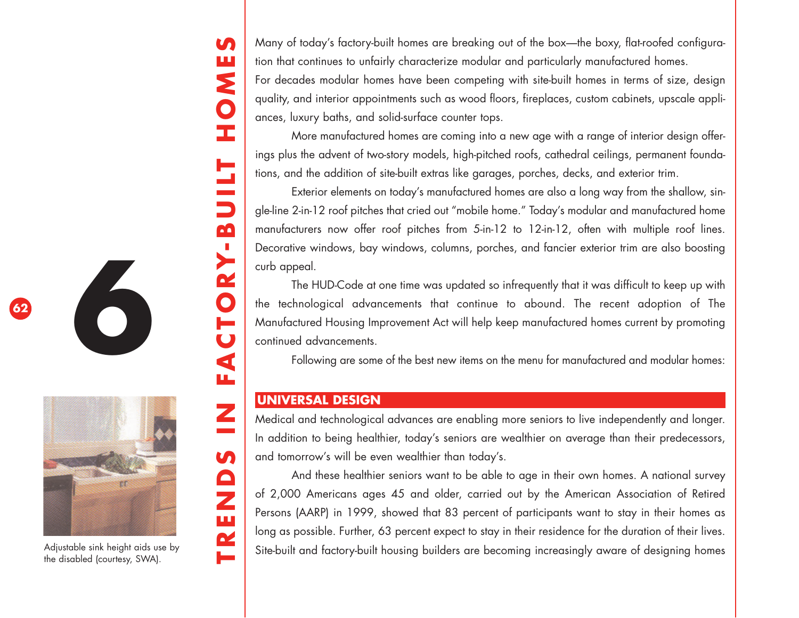**TRENDS IN FACTORY-BU ILT HOMES** Ш NOH **TTIN**  $\mathbf{\Omega}$  $\sum$  $\boldsymbol{\alpha}$  $\overline{\mathbf{O}}$ <u>para</u>  $\overline{\mathbf{C}}$  $\blacktriangleleft$ щ Z  $\sim 10^{11}$ S TREND

**In** 

Many of today's factory-built homes are breaking out of the box—the boxy, flat-roofed configuration that continues to unfairly characterize modular and particularly manufactured homes.

For decades modular homes have been competing with site-built homes in terms of size, design quality, and interior appointments such as wood floors, fireplaces, custom cabinets, upscale appliances, luxury baths, and solid-surface counter tops.

More manufactured homes are coming into a new age with a range of interior design offerings plus the advent of two-story models, high-pitched roofs, cathedral ceilings, permanent foundations, and the addition of site-built extras like garages, porches, decks, and exterior trim.

Exterior elements on today's manufactured homes are also a long way from the shallow, single-line 2-in-12 roof pitches that cried out "mobile home." Today's modular and manufactured home manufacturers now offer roof pitches from 5-in-12 to 12-in-12, often with multiple roof lines. Decorative windows, bay windows, columns, porches, and fancier exterior trim are also boosting curb appeal.

The HUD-Code at one time was updated so infrequently that it was difficult to keep up with the technological advancements that continue to abound. The recent adoption of The Manufactured Housing Improvement Act will help keep manufactured homes current by promoting continued advancements.

Following are some of the best new items on the menu for manufactured and modular homes:

### **UNIVERSAL DESIGN**

Medical and technological advances are enabling more seniors to live independently and longer. In addition to being healthier, today's seniors are wealthier on average than their predecessors, and tomorrow's will be even wealthier than today's.

And these healthier seniors want to be able to age in their own homes. A national survey of 2,000 Americans ages 45 and older, carried out by the American Association of Retired Persons (AARP) in 1999, showed that 83 percent of participants want to stay in their homes as long as possible. Further, 63 percent expect to stay in their residence for the duration of their lives. Site-built and factory-built housing builders are becoming increasingly aware of designing homes





**6**

Adjustable sink height aids use by the disabled (courtesy, SWA).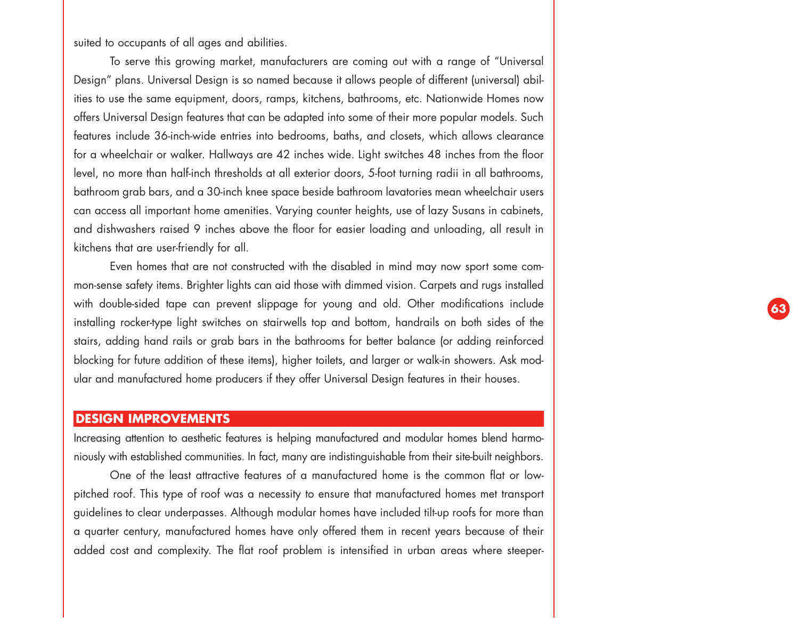suited to occupants of all ages and abilities.

To serve this growing market, manufacturers are coming out with a range of "Universal Design" plans. Universal Design is so named because it allows people of different (universal) abilities to use the same equipment, doors, ramps, kitchens, bathrooms, etc. Nationwide Homes now offers Universal Design features that can be adapted into some of their more popular models. Such features include 36-inch-wide entries into bedrooms, baths, and closets, which allows clearance for a wheelchair or walker. Hallways are 42 inches wide. Light switches 48 inches from the floor level, no more than half-inch thresholds at all exterior doors, 5-foot turning radii in all bathrooms, bathroom grab bars, and a 30-inch knee space beside bathroom lavatories mean wheelchair users can access all important home amenities. Varying counter heights, use of lazy Susans in cabinets, and dishwashers raised 9 inches above the floor for easier loading and unloading, all result in kitchens that are user-friendly for all.

Even homes that are not constructed with the disabled in mind may now sport some common-sense safety items. Brighter lights can aid those with dimmed vision. Carpets and rugs installed with double-sided tape can prevent slippage for young and old. Other modifications include installing rocker-type light switches on stairwells top and bottom, handrails on both sides of the stairs, adding hand rails or grab bars in the bathrooms for better balance (or adding reinforced blocking for future addition of these items), higher toilets, and larger or walk-in showers. Ask modular and manufactured home producers if they offer Universal Design features in their houses.

#### **DESIGN IMPROVEMENTS**

Increasing attention to aesthetic features is helping manufactured and modular homes blend harmoniously with established communities. In fact, many are indistinguishable from their site-built neighbors.

One of the least attractive features of a manufactured home is the common flat or lowpitched roof. This type of roof was a necessity to ensure that manufactured homes met transport guidelines to clear underpasses. Although modular homes have included tilt-up roofs for more than a quarter century, manufactured homes have only offered them in recent years because of their added cost and complexity. The flat roof problem is intensified in urban areas where steeper-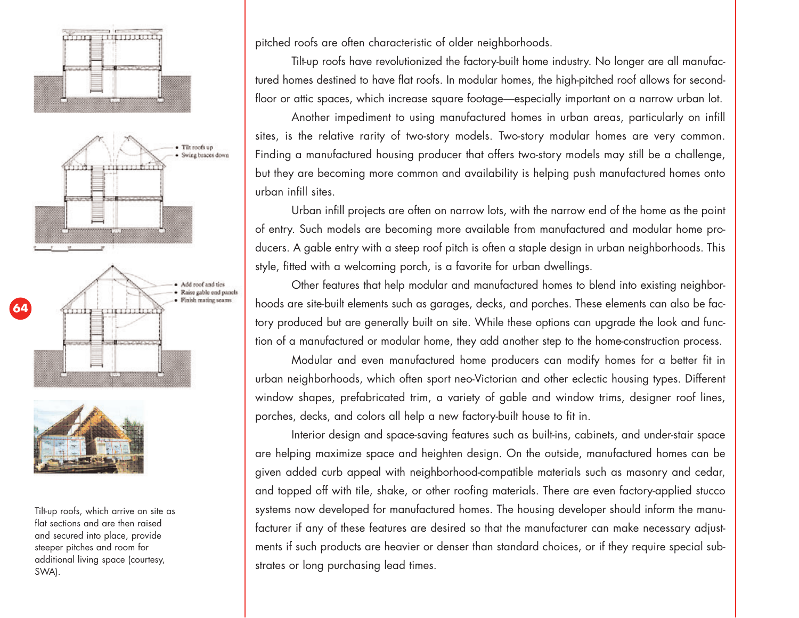





Tilt-up roofs, which arrive on site as flat sections and are then raised and secured into place, provide steeper pitches and room for additional living space (courtesy, SWA).

pitched roofs are often characteristic of older neighborhoods.

Tilt-up roofs have revolutionized the factory-built home industry. No longer are all manufactured homes destined to have flat roofs. In modular homes, the high-pitched roof allows for secondfloor or attic spaces, which increase square footage—especially important on a narrow urban lot.

Another impediment to using manufactured homes in urban areas, particularly on infill sites, is the relative rarity of two-story models. Two-story modular homes are very common. Finding a manufactured housing producer that offers two-story models may still be a challenge, but they are becoming more common and availability is helping push manufactured homes onto urban infill sites.

Urban infill projects are often on narrow lots, with the narrow end of the home as the point of entry. Such models are becoming more available from manufactured and modular home producers. A gable entry with a steep roof pitch is often a staple design in urban neighborhoods. This style, fitted with a welcoming porch, is a favorite for urban dwellings.

Other features that help modular and manufactured homes to blend into existing neighborhoods are site-built elements such as garages, decks, and porches. These elements can also be factory produced but are generally built on site. While these options can upgrade the look and function of a manufactured or modular home, they add another step to the home-construction process.

Modular and even manufactured home producers can modify homes for a better fit in urban neighborhoods, which often sport neo-Victorian and other eclectic housing types. Different window shapes, prefabricated trim, a variety of gable and window trims, designer roof lines, porches, decks, and colors all help a new factory-built house to fit in.

Interior design and space-saving features such as built-ins, cabinets, and under-stair space are helping maximize space and heighten design. On the outside, manufactured homes can be given added curb appeal with neighborhood-compatible materials such as masonry and cedar, and topped off with tile, shake, or other roofing materials. There are even factory-applied stucco systems now developed for manufactured homes. The housing developer should inform the manufacturer if any of these features are desired so that the manufacturer can make necessary adjustments if such products are heavier or denser than standard choices, or if they require special substrates or long purchasing lead times.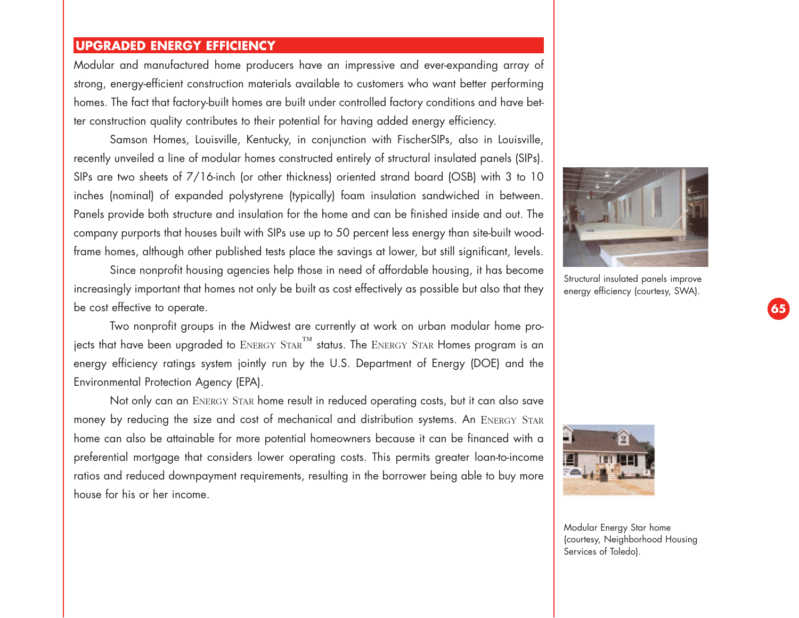## **UPGRADED ENERGY EFFICIENCY**

Modular and manufactured home producers have an impressive and ever-expanding array of strong, energy-efficient construction materials available to customers who want better performing homes. The fact that factory-built homes are built under controlled factory conditions and have better construction quality contributes to their potential for having added energy efficiency.

Samson Homes, Louisville, Kentucky, in conjunction with FischerSIPs, also in Louisville, recently unveiled a line of modular homes constructed entirely of structural insulated panels (SIPs). SIPs are two sheets of 7/16-inch (or other thickness) oriented strand board (OSB) with 3 to 10 inches (nominal) of expanded polystyrene (typically) foam insulation sandwiched in between. Panels provide both structure and insulation for the home and can be finished inside and out. The company purports that houses built with SIPs use up to 50 percent less energy than site-built woodframe homes, although other published tests place the savings at lower, but still significant, levels.

Since nonprofit housing agencies help those in need of affordable housing, it has become increasingly important that homes not only be built as cost effectively as possible but also that they be cost effective to operate.

Two nonprofit groups in the Midwest are currently at work on urban modular home projects that have been upgraded to  $ENERGY$   $SITAR$ <sup>™</sup> status. The  $ENERGY$   $SITAR$  Homes program is an energy efficiency ratings system jointly run by the U.S. Department of Energy (DOE) and the Environmental Protection Agency (EPA).

Not only can an ENERGY STAR home result in reduced operating costs, but it can also save money by reducing the size and cost of mechanical and distribution systems. An ENERGY STAR home can also be attainable for more potential homeowners because it can be financed with a preferential mortgage that considers lower operating costs. This permits greater loan-to-income ratios and reduced downpayment requirements, resulting in the borrower being able to buy more house for his or her income.



Structural insulated panels improve energy efficiency (courtesy, SWA).



Modular Energy Star home (courtesy, Neighborhood Housing Services of Toledo).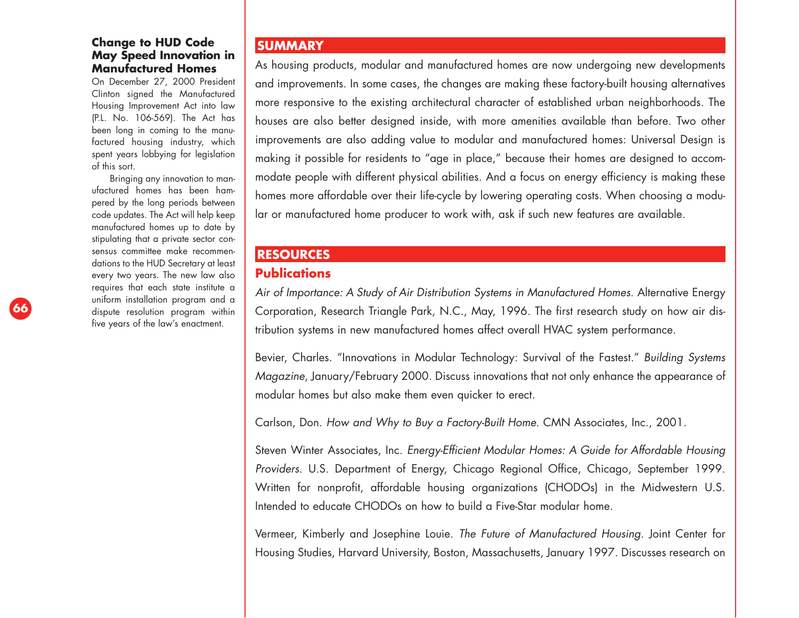#### **Change to HUD Code May Speed Innovation in Manufactured Homes**

On December 27, 2000 President Clinton signed the Manufactured Housing Improvement Act into law (P.L. No. 106-569). The Act has been long in coming to the manufactured housing industry, which spent years lobbying for legislation of this sort.

Bringing any innovation to manufactured homes has been hampered by the long periods between code updates. The Act will help keep manufactured homes up to date by stipulating that a private sector consensus committee make recommendations to the HUD Secretary at least every two years. The new law also requires that each state institute a uniform installation program and a dispute resolution program within five years of the law's enactment.

#### **SUMMARY**

As housing products, modular and manufactured homes are now undergoing new developments and improvements. In some cases, the changes are making these factory-built housing alternatives more responsive to the existing architectural character of established urban neighborhoods. The houses are also better designed inside, with more amenities available than before. Two other improvements are also adding value to modular and manufactured homes: Universal Design is making it possible for residents to "age in place," because their homes are designed to accommodate people with different physical abilities. And a focus on energy efficiency is making these homes more affordable over their life-cycle by lowering operating costs. When choosing a modular or manufactured home producer to work with, ask if such new features are available.

### **RESOURCES**

# **Publications**

*Air of Importance: A Study of Air Distribution Systems in Manufactured Homes*. Alternative Energy Corporation, Research Triangle Park, N.C., May, 1996. The first research study on how air distribution systems in new manufactured homes affect overall HVAC system performance.

Bevier, Charles. "Innovations in Modular Technology: Survival of the Fastest." *Building Systems Magazine*, January/February 2000. Discuss innovations that not only enhance the appearance of modular homes but also make them even quicker to erect.

Carlson, Don. *How and Why to Buy a Factory-Built Home*. CMN Associates, Inc., 2001.

Steven Winter Associates, Inc. *Energy-Efficient Modular Homes: A Guide for Affordable Housing Providers*. U.S. Department of Energy, Chicago Regional Office, Chicago, September 1999. Written for nonprofit, affordable housing organizations (CHODOs) in the Midwestern U.S. Intended to educate CHODOs on how to build a Five-Star modular home.

Vermeer, Kimberly and Josephine Louie. *The Future of Manufactured Housing.* Joint Center for Housing Studies, Harvard University, Boston, Massachusetts, January 1997. Discusses research on